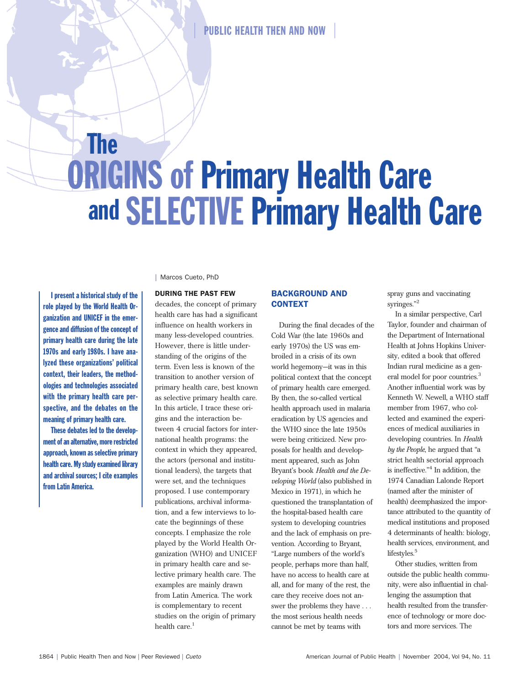# **ORIGINS of Primary Health Care** The and SELECTIVE Primary Health Care

I present a historical study of the role played by the World Health Organization and UNICEF in the emergence and diffusion of the concept of primary health care during the late 1970s and early 1980s. I have analyzed these organizations' political context, their leaders, the method-

ologies and technologies associated with the primary health care perspective, and the debates on the meaning of primary health care.

These debates led to the development of an alternative, more restricted approach, known as selective primary health care. My study examined library and archival sources; I cite examples from Latin America.

| Marcos Cueto, PhD

#### DURING THE PAST FEW

decades, the concept of primary health care has had a significant influence on health workers in many less-developed countries. However, there is little understanding of the origins of the term. Even less is known of the transition to another version of primary health care, best known as selective primary health care. In this article, I trace these origins and the interaction between 4 crucial factors for international health programs: the context in which they appeared, the actors (personal and institutional leaders), the targets that were set, and the techniques proposed. I use contemporary publications, archival information, and a few interviews to locate the beginnings of these concepts. I emphasize the role played by the World Health Organization (WHO) and UNICEF in primary health care and selective primary health care. The examples are mainly drawn from Latin America. The work is complementary to recent studies on the origin of primary health care. $<sup>1</sup>$ </sup>

## BACKGROUND AND CONTEXT

During the final decades of the Cold War (the late 1960s and early 1970s) the US was embroiled in a crisis of its own world hegemony—it was in this political context that the concept of primary health care emerged. By then, the so-called vertical health approach used in malaria eradication by US agencies and the WHO since the late 1950s were being criticized. New proposals for health and development appeared, such as John Bryant's book *Health and the Developing World* (also published in Mexico in 1971), in which he questioned the transplantation of the hospital-based health care system to developing countries and the lack of emphasis on prevention. According to Bryant, "Large numbers of the world's people, perhaps more than half, have no access to health care at all, and for many of the rest, the care they receive does not answer the problems they have . . . the most serious health needs cannot be met by teams with

spray guns and vaccinating syringes."<sup>2</sup>

In a similar perspective, Carl Taylor, founder and chairman of the Department of International Health at Johns Hopkins University, edited a book that offered Indian rural medicine as a general model for poor countries.<sup>3</sup> Another influential work was by Kenneth W. Newell, a WHO staff member from 1967, who collected and examined the experiences of medical auxiliaries in developing countries. In *Health by the People*, he argued that "a strict health sectorial approach is ineffective."4 In addition, the 1974 Canadian Lalonde Report (named after the minister of health) deemphasized the importance attributed to the quantity of medical institutions and proposed 4 determinants of health: biology, health services, environment, and lifestyles.<sup>5</sup>

Other studies, written from outside the public health community, were also influential in challenging the assumption that health resulted from the transference of technology or more doctors and more services. The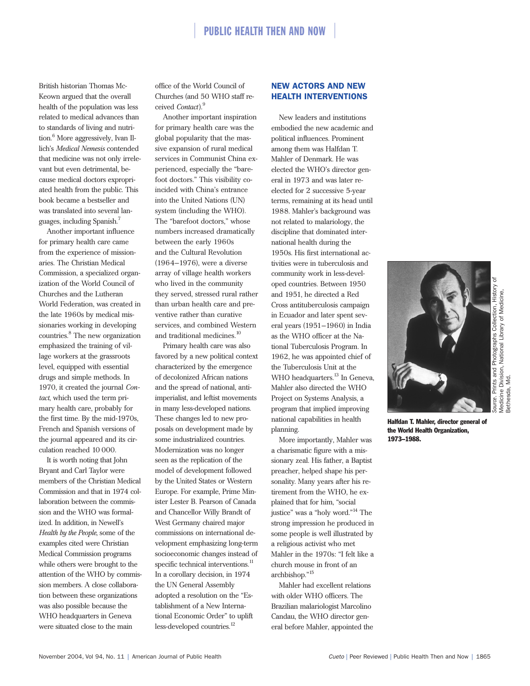British historian Thomas Mc-Keown argued that the overall health of the population was less related to medical advances than to standards of living and nutrition.<sup>6</sup> More aggressively, Ivan Illich's *Medical Nemesis* contended that medicine was not only irrelevant but even detrimental, because medical doctors expropriated health from the public. This book became a bestseller and was translated into several languages, including Spanish.7

Another important influence for primary health care came from the experience of missionaries. The Christian Medical Commission, a specialized organization of the World Council of Churches and the Lutheran World Federation, was created in the late 1960s by medical missionaries working in developing countries.<sup>8</sup> The new organization emphasized the training of village workers at the grassroots level, equipped with essential drugs and simple methods. In 1970, it created the journal *Contact*, which used the term primary health care, probably for the first time. By the mid-1970s, French and Spanish versions of the journal appeared and its circulation reached 10 000.

It is worth noting that John Bryant and Carl Taylor were members of the Christian Medical Commission and that in 1974 collaboration between the commission and the WHO was formalized. In addition, in Newell's *Health by the People*, some of the examples cited were Christian Medical Commission programs while others were brought to the attention of the WHO by commission members. A close collaboration between these organizations was also possible because the WHO headquarters in Geneva were situated close to the main

office of the World Council of Churches (and 50 WHO staff received *Contact*).9

Another important inspiration for primary health care was the global popularity that the massive expansion of rural medical services in Communist China experienced, especially the "barefoot doctors." This visibility coincided with China's entrance into the United Nations (UN) system (including the WHO). The "barefoot doctors," whose numbers increased dramatically between the early 1960s and the Cultural Revolution (1964–1976), were a diverse array of village health workers who lived in the community they served, stressed rural rather than urban health care and preventive rather than curative services, and combined Western and traditional medicines.<sup>10</sup>

Primary health care was also favored by a new political context characterized by the emergence of decolonized African nations and the spread of national, antiimperialist, and leftist movements in many less-developed nations. These changes led to new proposals on development made by some industrialized countries. Modernization was no longer seen as the replication of the model of development followed by the United States or Western Europe. For example, Prime Minister Lester B. Pearson of Canada and Chancellor Willy Brandt of West Germany chaired major commissions on international development emphasizing long-term socioeconomic changes instead of specific technical interventions.<sup>11</sup> In a corollary decision, in 1974 the UN General Assembly adopted a resolution on the "Establishment of a New International Economic Order" to uplift less-developed countries.<sup>12</sup>

## NEW ACTORS AND NEW HEALTH INTERVENTIONS

New leaders and institutions embodied the new academic and political influences. Prominent among them was Halfdan T. Mahler of Denmark. He was elected the WHO's director general in 1973 and was later reelected for 2 successive 5-year terms, remaining at its head until 1988. Mahler's background was not related to malariology, the discipline that dominated international health during the 1950s. His first international activities were in tuberculosis and community work in less-developed countries. Between 1950 and 1951, he directed a Red Cross antituberculosis campaign in Ecuador and later spent several years (1951–1960) in India as the WHO officer at the National Tuberculosis Program. In 1962, he was appointed chief of the Tuberculosis Unit at the WHO headquarters.<sup>13</sup> In Geneva, Mahler also directed the WHO Project on Systems Analysis, a program that implied improving national capabilities in health planning.

More importantly, Mahler was a charismatic figure with a missionary zeal. His father, a Baptist preacher, helped shape his personality. Many years after his retirement from the WHO, he explained that for him, "social justice" was a "holy word."<sup>14</sup> The strong impression he produced in some people is well illustrated by a religious activist who met Mahler in the 1970s: "I felt like a church mouse in front of an archbishop."<sup>15</sup>

Mahler had excellent relations with older WHO officers. The Brazilian malariologist Marcolino Candau, the WHO director general before Mahler, appointed the



Halfdan T. Mahler, director general of the World Health Organization, 1973–1988.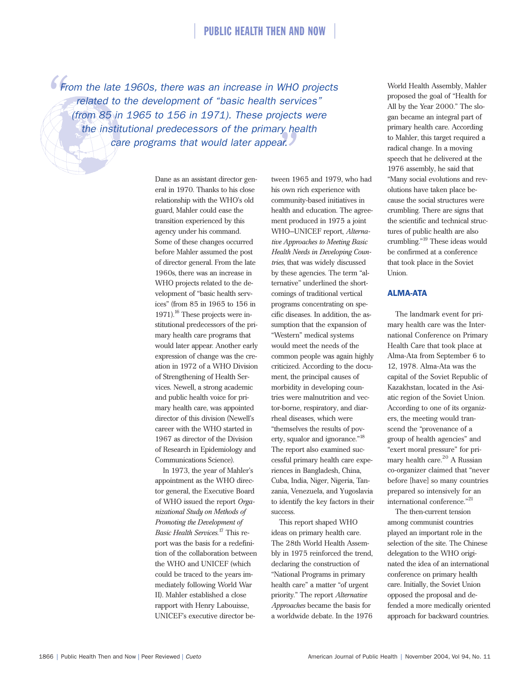1 *" From the late 1960s, there was an increase in WHO projects related to the development of "basic health services" (from 85 in 1965 to 156 in 1971). These projects were the institutional predecessors of the primary health care programs that would later appear.*

Dane as an assistant director general in 1970. Thanks to his close relationship with the WHO's old guard, Mahler could ease the transition experienced by this agency under his command. Some of these changes occurred before Mahler assumed the post of director general. From the late 1960s, there was an increase in WHO projects related to the development of "basic health services" (from 85 in 1965 to 156 in 1971).16 These projects were institutional predecessors of the primary health care programs that would later appear. Another early expression of change was the creation in 1972 of a WHO Division of Strengthening of Health Services. Newell, a strong academic and public health voice for primary health care, was appointed director of this division (Newell's career with the WHO started in 1967 as director of the Division of Research in Epidemiology and Communications Science).

In 1973, the year of Mahler's appointment as the WHO director general, the Executive Board of WHO issued the report *Organizational Study on Methods of Promoting the Development of Basic Health Services*. <sup>17</sup> This report was the basis for a redefinition of the collaboration between the WHO and UNICEF (which could be traced to the years immediately following World War II). Mahler established a close rapport with Henry Labouisse, UNICEF's executive director between 1965 and 1979, who had his own rich experience with community-based initiatives in health and education. The agreement produced in 1975 a joint WHO–UNICEF report, *Alternative Approaches to Meeting Basic Health Needs in Developing Countries*, that was widely discussed by these agencies. The term "alternative" underlined the shortcomings of traditional vertical programs concentrating on specific diseases. In addition, the assumption that the expansion of "Western" medical systems would meet the needs of the common people was again highly criticized. According to the document, the principal causes of morbidity in developing countries were malnutrition and vector-borne, respiratory, and diarrheal diseases, which were "themselves the results of poverty, squalor and ignorance."<sup>18</sup> The report also examined successful primary health care experiences in Bangladesh, China, Cuba, India, Niger, Nigeria, Tanzania, Venezuela, and Yugoslavia to identify the key factors in their success.

This report shaped WHO ideas on primary health care. The 28th World Health Assembly in 1975 reinforced the trend, declaring the construction of "National Programs in primary health care" a matter "of urgent priority." The report *Alternative Approaches* became the basis for a worldwide debate. In the 1976

World Health Assembly, Mahler proposed the goal of "Health for All by the Year 2000." The slogan became an integral part of primary health care. According to Mahler, this target required a radical change. In a moving speech that he delivered at the 1976 assembly, he said that "Many social evolutions and revolutions have taken place because the social structures were crumbling. There are signs that the scientific and technical structures of public health are also crumbling."<sup>19</sup> These ideas would be confirmed at a conference that took place in the Soviet Union.

## ALMA-ATA

The landmark event for primary health care was the International Conference on Primary Health Care that took place at Alma-Ata from September 6 to 12, 1978. Alma-Ata was the capital of the Soviet Republic of Kazakhstan, located in the Asiatic region of the Soviet Union. According to one of its organizers, the meeting would transcend the "provenance of a group of health agencies" and "exert moral pressure" for primary health care.<sup>20</sup> A Russian co-organizer claimed that "never before [have] so many countries prepared so intensively for an international conference."<sup>21</sup>

The then-current tension among communist countries played an important role in the selection of the site. The Chinese delegation to the WHO originated the idea of an international conference on primary health care. Initially, the Soviet Union opposed the proposal and defended a more medically oriented approach for backward countries.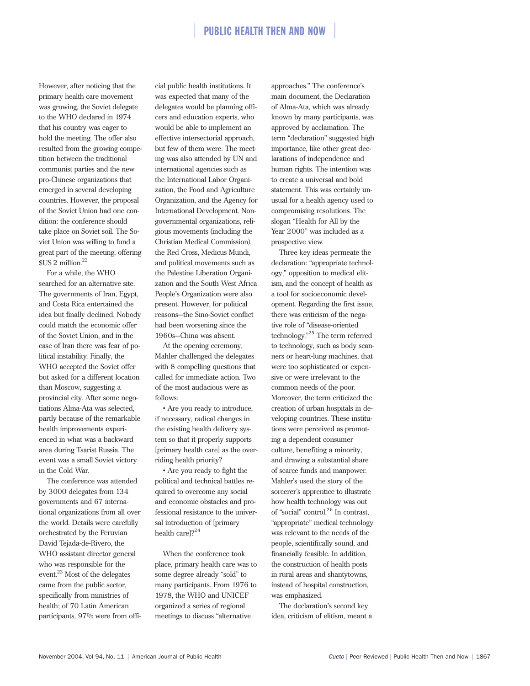However, after noticing that the primary health care movement was growing, the Soviet delegate to the WHO declared in 1974 that his country was eager to hold the meeting. The offer also resulted from the growing competition between the traditional communist parties and the new pro-Chinese organizations that emerged in several developing countries. However, the proposal of the Soviet Union had one condition: the conference should take place on Soviet soil. The Soviet Union was willing to fund a great part of the meeting, offering \$US 2 million.<sup>22</sup>

For a while, the WHO searched for an alternative site. The governments of Iran, Egypt, and Costa Rica entertained the idea but finally declined. Nobody could match the economic offer of the Soviet Union, and in the case of Iran there was fear of political instability. Finally, the WHO accepted the Soviet offer but asked for a different location than Moscow, suggesting a provincial city. After some negotiations Alma-Ata was selected, partly because of the remarkable health improvements experienced in what was a backward area during Tsarist Russia. The event was a small Soviet victory in the Cold War.

The conference was attended by 3000 delegates from 134 governments and 67 international organizations from all over the world. Details were carefully orchestrated by the Peruvian David Tejada-de-Rivero, the WHO assistant director general who was responsible for the event.<sup>23</sup> Most of the delegates came from the public sector, specifically from ministries of health; of 70 Latin American participants, 97% were from offi-

cial public health institutions. It was expected that many of the delegates would be planning officers and education experts, who would be able to implement an effective intersectorial approach, but few of them were. The meeting was also attended by UN and international agencies such as the International Labor Organization, the Food and Agriculture Organization, and the Agency for International Development. Nongovernmental organizations, religious movements (including the Christian Medical Commission), the Red Cross, Medicus Mundi, and political movements such as the Palestine Liberation Organization and the South West Africa People's Organization were also present. However, for political reasons—the Sino-Soviet conflict had been worsening since the

At the opening ceremony, Mahler challenged the delegates with 8 compelling questions that called for immediate action. Two of the most audacious were as follows:

1960s—China was absent.

• Are you ready to introduce, if necessary, radical changes in the existing health delivery system so that it properly supports [primary health care] as the overriding health priority?

• Are you ready to fight the political and technical battles required to overcome any social and economic obstacles and professional resistance to the universal introduction of [primary health care]?<sup>24</sup>

When the conference took place, primary health care was to some degree already "sold" to many participants. From 1976 to 1978, the WHO and UNICEF organized a series of regional meetings to discuss "alternative

approaches." The conference's main document, the Declaration of Alma-Ata, which was already known by many participants, was approved by acclamation. The term "declaration" suggested high importance, like other great declarations of independence and human rights. The intention was to create a universal and bold statement. This was certainly unusual for a health agency used to compromising resolutions. The slogan "Health for All by the Year 2000" was included as a prospective view.

Three key ideas permeate the declaration: "appropriate technology," opposition to medical elitism, and the concept of health as a tool for socioeconomic development. Regarding the first issue, there was criticism of the negative role of "disease-oriented technology."<sup>25</sup> The term referred to technology, such as body scanners or heart-lung machines, that were too sophisticated or expensive or were irrelevant to the common needs of the poor. Moreover, the term criticized the creation of urban hospitals in developing countries. These institutions were perceived as promoting a dependent consumer culture, benefiting a minority, and drawing a substantial share of scarce funds and manpower. Mahler's used the story of the sorcerer's apprentice to illustrate how health technology was out of "social" control.<sup>26</sup> In contrast, "appropriate" medical technology was relevant to the needs of the people, scientifically sound, and financially feasible. In addition, the construction of health posts in rural areas and shantytowns, instead of hospital construction, was emphasized.

The declaration's second key idea, criticism of elitism, meant a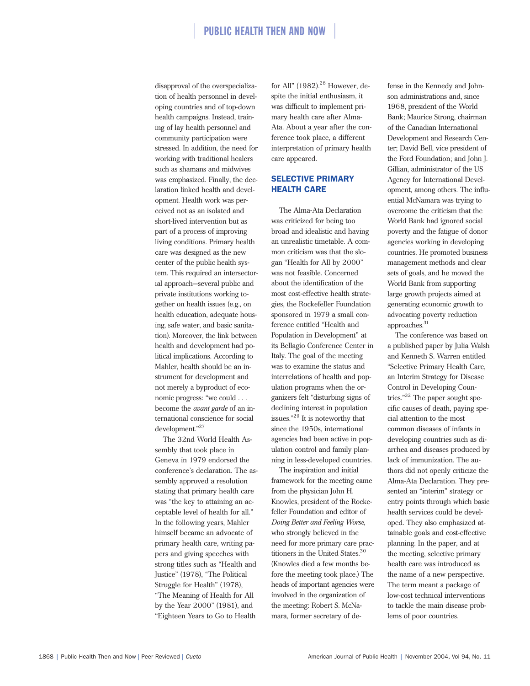disapproval of the overspecialization of health personnel in developing countries and of top-down health campaigns. Instead, training of lay health personnel and community participation were stressed. In addition, the need for working with traditional healers such as shamans and midwives was emphasized. Finally, the declaration linked health and development. Health work was perceived not as an isolated and short-lived intervention but as part of a process of improving living conditions. Primary health care was designed as the new center of the public health system. This required an intersectorial approach—several public and private institutions working together on health issues (e.g., on health education, adequate housing, safe water, and basic sanitation). Moreover, the link between health and development had political implications. According to Mahler, health should be an instrument for development and not merely a byproduct of economic progress: "we could . . . become the *avant garde* of an international conscience for social development."27

The 32nd World Health Assembly that took place in Geneva in 1979 endorsed the conference's declaration. The assembly approved a resolution stating that primary health care was "the key to attaining an acceptable level of health for all." In the following years, Mahler himself became an advocate of primary health care, writing papers and giving speeches with strong titles such as "Health and Justice" (1978), "The Political Struggle for Health" (1978), "The Meaning of Health for All by the Year 2000" (1981), and "Eighteen Years to Go to Health

for All"  $(1982).^{28}$  However, despite the initial enthusiasm, it was difficult to implement primary health care after Alma-Ata. About a year after the conference took place, a different interpretation of primary health care appeared.

## SELECTIVE PRIMARY HEALTH CARE

The Alma-Ata Declaration was criticized for being too broad and idealistic and having an unrealistic timetable. A common criticism was that the slogan "Health for All by 2000" was not feasible. Concerned about the identification of the most cost-effective health strategies, the Rockefeller Foundation sponsored in 1979 a small conference entitled "Health and Population in Development" at its Bellagio Conference Center in Italy. The goal of the meeting was to examine the status and interrelations of health and population programs when the organizers felt "disturbing signs of declining interest in population issues."<sup>29</sup> It is noteworthy that since the 1950s, international agencies had been active in population control and family planning in less-developed countries.

The inspiration and initial framework for the meeting came from the physician John H. Knowles, president of the Rockefeller Foundation and editor of *Doing Better and Feeling Worse*, who strongly believed in the need for more primary care practitioners in the United States.<sup>30</sup> (Knowles died a few months before the meeting took place.) The heads of important agencies were involved in the organization of the meeting: Robert S. McNamara, former secretary of defense in the Kennedy and Johnson administrations and, since 1968, president of the World Bank; Maurice Strong, chairman of the Canadian International Development and Research Center; David Bell, vice president of the Ford Foundation; and John J. Gillian, administrator of the US Agency for International Development, among others. The influential McNamara was trying to overcome the criticism that the World Bank had ignored social poverty and the fatigue of donor agencies working in developing countries. He promoted business management methods and clear sets of goals, and he moved the World Bank from supporting large growth projects aimed at generating economic growth to advocating poverty reduction approaches.<sup>31</sup>

The conference was based on a published paper by Julia Walsh and Kenneth S. Warren entitled "Selective Primary Health Care, an Interim Strategy for Disease Control in Developing Countries."<sup>32</sup> The paper sought specific causes of death, paying special attention to the most common diseases of infants in developing countries such as diarrhea and diseases produced by lack of immunization. The authors did not openly criticize the Alma-Ata Declaration. They presented an "interim" strategy or entry points through which basic health services could be developed. They also emphasized attainable goals and cost-effective planning. In the paper, and at the meeting, selective primary health care was introduced as the name of a new perspective. The term meant a package of low-cost technical interventions to tackle the main disease problems of poor countries.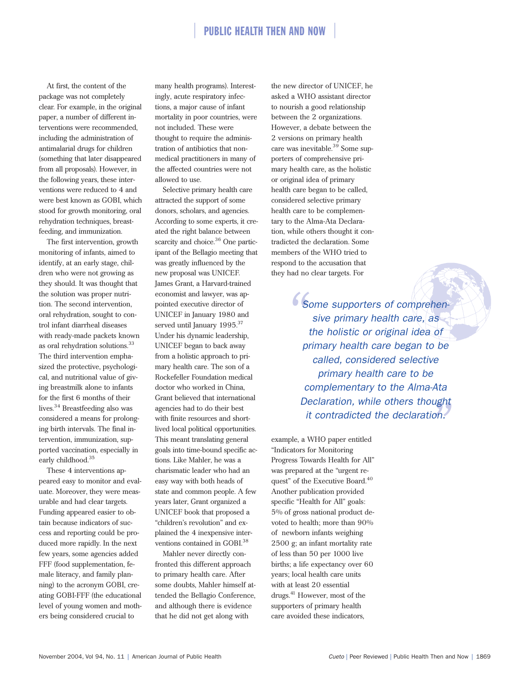At first, the content of the package was not completely clear. For example, in the original paper, a number of different interventions were recommended, including the administration of antimalarial drugs for children (something that later disappeared from all proposals). However, in the following years, these interventions were reduced to 4 and were best known as GOBI, which stood for growth monitoring, oral rehydration techniques, breastfeeding, and immunization.

The first intervention, growth monitoring of infants, aimed to identify, at an early stage, children who were not growing as they should. It was thought that the solution was proper nutrition. The second intervention, oral rehydration, sought to control infant diarrheal diseases with ready-made packets known as oral rehydration solutions.<sup>33</sup> The third intervention emphasized the protective, psychological, and nutritional value of giving breastmilk alone to infants for the first 6 months of their lives.<sup>34</sup> Breastfeeding also was considered a means for prolonging birth intervals. The final intervention, immunization, supported vaccination, especially in early childhood.<sup>35</sup>

These 4 interventions appeared easy to monitor and evaluate. Moreover, they were measurable and had clear targets. Funding appeared easier to obtain because indicators of success and reporting could be produced more rapidly. In the next few years, some agencies added FFF (food supplementation, female literacy, and family planning) to the acronym GOBI, creating GOBI-FFF (the educational level of young women and mothers being considered crucial to

many health programs). Interestingly, acute respiratory infections, a major cause of infant mortality in poor countries, were not included. These were thought to require the administration of antibiotics that nonmedical practitioners in many of the affected countries were not allowed to use.

Selective primary health care attracted the support of some donors, scholars, and agencies. According to some experts, it created the right balance between scarcity and choice.<sup>36</sup> One participant of the Bellagio meeting that was greatly influenced by the new proposal was UNICEF. James Grant, a Harvard-trained economist and lawyer, was appointed executive director of UNICEF in January 1980 and served until January 1995.<sup>37</sup> Under his dynamic leadership, UNICEF began to back away from a holistic approach to primary health care. The son of a Rockefeller Foundation medical doctor who worked in China, Grant believed that international agencies had to do their best with finite resources and shortlived local political opportunities. This meant translating general goals into time-bound specific actions. Like Mahler, he was a charismatic leader who had an easy way with both heads of state and common people. A few years later, Grant organized a UNICEF book that proposed a "children's revolution" and explained the 4 inexpensive interventions contained in GOBI.<sup>38</sup>

Mahler never directly confronted this different approach to primary health care. After some doubts, Mahler himself attended the Bellagio Conference, and although there is evidence that he did not get along with

the new director of UNICEF, he asked a WHO assistant director to nourish a good relationship between the 2 organizations. However, a debate between the 2 versions on primary health care was inevitable.<sup>39</sup> Some supporters of comprehensive primary health care, as the holistic or original idea of primary health care began to be called, considered selective primary health care to be complementary to the Alma-Ata Declaration, while others thought it contradicted the declaration. Some members of the WHO tried to respond to the accusation that they had no clear targets. For

> *"* ougr<br>tion:<br><u>\*</u> *Some supporters of comprehensive primary health care, as the holistic or original idea of primary health care began to be called, considered selective primary health care to be complementary to the Alma-Ata Declaration, while others thought it contradicted the declaration.*

example, a WHO paper entitled "Indicators for Monitoring Progress Towards Health for All" was prepared at the "urgent request" of the Executive Board.<sup>40</sup> Another publication provided specific "Health for All" goals: 5% of gross national product devoted to health; more than 90% of newborn infants weighing 2500 g; an infant mortality rate of less than 50 per 1000 live births; a life expectancy over 60 years; local health care units with at least 20 essential drugs.<sup>41</sup> However, most of the supporters of primary health care avoided these indicators,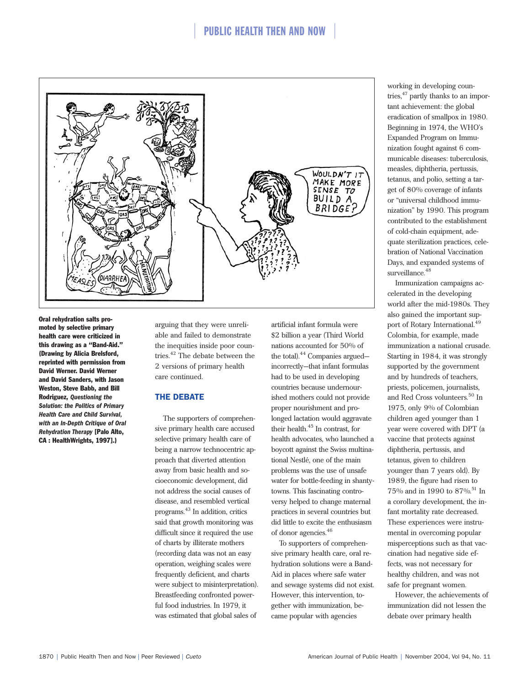

Oral rehydration salts promoted by selective primary health care were criticized in this drawing as a "Band-Aid." (Drawing by Alicia Brelsford, reprinted with permission from David Werner. David Werner and David Sanders, with Jason Weston, Steve Babb, and Bill Rodriguez, *Questioning the Solution: the Politics of Primary Health Care and Child Survival, with an In-Depth Critique of Oral Rehydration Therapy* [Palo Alto, CA : HealthWrights, 1997].)

arguing that they were unreliable and failed to demonstrate the inequities inside poor countries.<sup>42</sup> The debate between the 2 versions of primary health care continued.

## THE DEBATE

The supporters of comprehensive primary health care accused selective primary health care of being a narrow technocentric approach that diverted attention away from basic health and socioeconomic development, did not address the social causes of disease, and resembled vertical programs.43 In addition, critics said that growth monitoring was difficult since it required the use of charts by illiterate mothers (recording data was not an easy operation, weighing scales were frequently deficient, and charts were subject to misinterpretation). Breastfeeding confronted powerful food industries. In 1979, it was estimated that global sales of

artificial infant formula were \$2 billion a year (Third World nations accounted for 50% of the total).44 Companies argued incorrectly—that infant formulas had to be used in developing countries because undernourished mothers could not provide proper nourishment and prolonged lactation would aggravate their health.45 In contrast, for health advocates, who launched a boycott against the Swiss multinational Nestlé, one of the main problems was the use of unsafe water for bottle-feeding in shantytowns. This fascinating controversy helped to change maternal practices in several countries but did little to excite the enthusiasm of donor agencies.46

To supporters of comprehensive primary health care, oral rehydration solutions were a Band-Aid in places where safe water and sewage systems did not exist. However, this intervention, together with immunization, became popular with agencies

working in developing countries, $47$  partly thanks to an important achievement: the global eradication of smallpox in 1980. Beginning in 1974, the WHO's Expanded Program on Immunization fought against 6 communicable diseases: tuberculosis, measles, diphtheria, pertussis, tetanus, and polio, setting a target of 80% coverage of infants or "universal childhood immunization" by 1990. This program contributed to the establishment of cold-chain equipment, adequate sterilization practices, celebration of National Vaccination Days, and expanded systems of surveillance.<sup>48</sup>

Immunization campaigns accelerated in the developing world after the mid-1980s. They also gained the important support of Rotary International.<sup>49</sup> Colombia, for example, made immunization a national crusade. Starting in 1984, it was strongly supported by the government and by hundreds of teachers, priests, policemen, journalists, and Red Cross volunteers.<sup>50</sup> In 1975, only 9% of Colombian children aged younger than 1 year were covered with DPT (a vaccine that protects against diphtheria, pertussis, and tetanus, given to children younger than 7 years old). By 1989, the figure had risen to 75% and in 1990 to 87%.<sup>51</sup> In a corollary development, the infant mortality rate decreased. These experiences were instrumental in overcoming popular misperceptions such as that vaccination had negative side effects, was not necessary for healthy children, and was not safe for pregnant women.

However, the achievements of immunization did not lessen the debate over primary health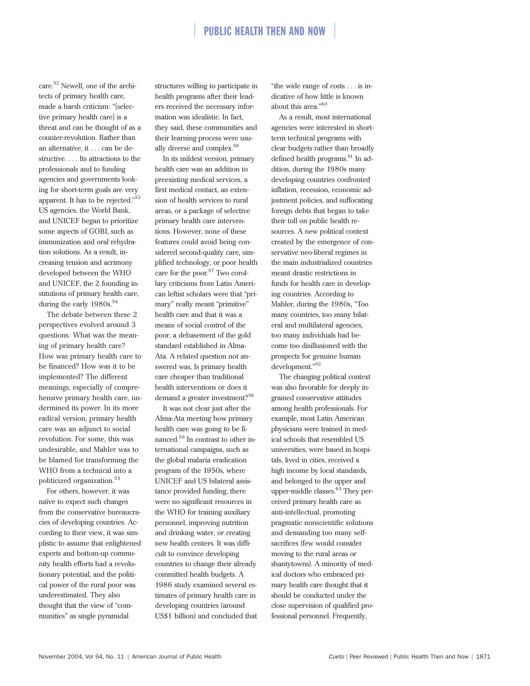care.52 Newell, one of the architects of primary health care, made a harsh criticism: "[selective primary health care] is a threat and can be thought of as a counter-revolution. Rather than an alternative, it . . . can be destructive. . . . Its attractions to the professionals and to funding agencies and governments looking for short-term goals are very apparent. It has to be rejected."<sup>53</sup> US agencies, the World Bank, and UNICEF began to prioritize some aspects of GOBI, such as immunization and oral rehydration solutions. As a result, increasing tension and acrimony developed between the WHO and UNICEF, the 2 founding institutions of primary health care, during the early  $1980s.^{54}$ 

The debate between these 2 perspectives evolved around 3 questions: What was the meaning of primary health care? How was primary health care to be financed? How was it to be implemented? The different meanings, especially of comprehensive primary health care, undermined its power. In its more radical version, primary health care was an adjunct to social revolution. For some, this was undesirable, and Mahler was to be blamed for transforming the WHO from a technical into a politicized organization.<sup>55</sup>

For others, however, it was naïve to expect such changes from the conservative bureaucracies of developing countries. According to their view, it was simplistic to assume that enlightened experts and bottom-up community health efforts had a revolutionary potential, and the political power of the rural poor was underestimated. They also thought that the view of "communities" as single pyramidal

structures willing to participate in health programs after their leaders received the necessary information was idealistic. In fact, they said, these communities and their learning process were usually diverse and complex.<sup>56</sup>

In its mildest version, primary health care was an addition to preexisting medical services, a first medical contact, an extension of health services to rural areas, or a package of selective primary health care interventions. However, none of these features could avoid being considered second-quality care, simplified technology, or poor health care for the poor.<sup>57</sup> Two corollary criticisms from Latin American leftist scholars were that "primary" really meant "primitive" health care and that it was a means of social control of the poor, a debasement of the gold standard established in Alma-Ata. A related question not answered was, Is primary health care cheaper than traditional health interventions or does it demand a greater investment?<sup>58</sup>

It was not clear just after the Alma-Ata meeting how primary health care was going to be financed.<sup>59</sup> In contrast to other international campaigns, such as the global malaria eradication program of the 1950s, where UNICEF and US bilateral assistance provided funding, there were no significant resources in the WHO for training auxiliary personnel, improving nutrition and drinking water, or creating new health centers. It was difficult to convince developing countries to change their already committed health budgets. A 1986 study examined several estimates of primary health care in developing countries (around US\$1 billion) and concluded that

"the wide range of costs . . . is indicative of how little is known about this area."60

As a result, most international agencies were interested in shortterm technical programs with clear budgets rather than broadly defined health programs. $^{61}$  In addition, during the 1980s many developing countries confronted inflation, recession, economic adjustment policies, and suffocating foreign debts that began to take their toll on public health resources. A new political context created by the emergence of conservative neo-liberal regimes in the main industrialized countries meant drastic restrictions in funds for health care in developing countries. According to Mahler, during the 1980s, "Too many countries, too many bilateral and multilateral agencies, too many individuals had become too disillusioned with the prospects for genuine human development."62

The changing political context was also favorable for deeply ingrained conservative attitudes among health professionals. For example, most Latin American physicians were trained in medical schools that resembled US universities, were based in hospitals, lived in cities, received a high income by local standards, and belonged to the upper and upper-middle classes.<sup>63</sup> They perceived primary health care as anti-intellectual, promoting pragmatic nonscientific solutions and demanding too many selfsacrifices (few would consider moving to the rural areas or shantytowns). A minority of medical doctors who embraced primary health care thought that it should be conducted under the close supervision of qualified professional personnel. Frequently,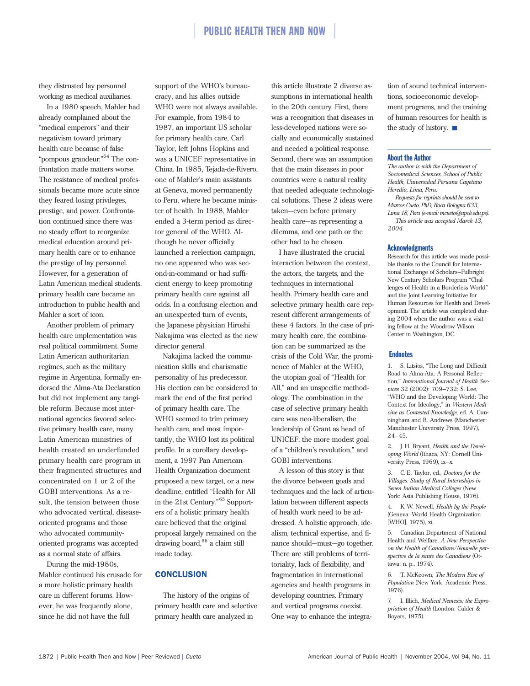they distrusted lay personnel working as medical auxiliaries.

In a 1980 speech, Mahler had already complained about the "medical emperors" and their negativism toward primary health care because of false "pompous grandeur."<sup>64</sup> The confrontation made matters worse. The resistance of medical professionals became more acute since they feared losing privileges, prestige, and power. Confrontation continued since there was no steady effort to reorganize medical education around primary health care or to enhance the prestige of lay personnel. However, for a generation of Latin American medical students, primary health care became an introduction to public health and Mahler a sort of icon.

Another problem of primary health care implementation was real political commitment. Some Latin American authoritarian regimes, such as the military regime in Argentina, formally endorsed the Alma-Ata Declaration but did not implement any tangible reform. Because most international agencies favored selective primary health care, many Latin American ministries of health created an underfunded primary health care program in their fragmented structures and concentrated on 1 or 2 of the GOBI interventions. As a result, the tension between those who advocated vertical, diseaseoriented programs and those who advocated communityoriented programs was accepted as a normal state of affairs.

During the mid-1980s, Mahler continued his crusade for a more holistic primary health care in different forums. However, he was frequently alone, since he did not have the full

support of the WHO's bureaucracy, and his allies outside WHO were not always available. For example, from 1984 to 1987, an important US scholar for primary health care, Carl Taylor, left Johns Hopkins and was a UNICEF representative in China. In 1985, Tejada-de-Rivero, one of Mahler's main assistants at Geneva, moved permanently to Peru, where he became minister of health. In 1988, Mahler ended a 3-term period as director general of the WHO. Although he never officially launched a reelection campaign, no one appeared who was second-in-command or had sufficient energy to keep promoting primary health care against all odds. In a confusing election and an unexpected turn of events, the Japanese physician Hiroshi Nakajima was elected as the new director general.

Nakajima lacked the communication skills and charismatic personality of his predecessor. His election can be considered to mark the end of the first period of primary health care. The WHO seemed to trim primary health care, and most importantly, the WHO lost its political profile. In a corollary development, a 1997 Pan American Health Organization document proposed a new target, or a new deadline, entitled "Health for All in the 21st Century."<sup>65</sup> Supporters of a holistic primary health care believed that the original proposal largely remained on the drawing board,<sup>66</sup> a claim still made today.

### **CONCLUSION**

The history of the origins of primary health care and selective primary health care analyzed in

this article illustrate 2 diverse assumptions in international health in the 20th century. First, there was a recognition that diseases in less-developed nations were socially and economically sustained and needed a political response. Second, there was an assumption that the main diseases in poor countries were a natural reality that needed adequate technological solutions. These 2 ideas were taken—even before primary health care—as representing a dilemma, and one path or the other had to be chosen.

I have illustrated the crucial interaction between the context, the actors, the targets, and the techniques in international health. Primary health care and selective primary health care represent different arrangements of these 4 factors. In the case of primary health care, the combination can be summarized as the crisis of the Cold War, the prominence of Mahler at the WHO, the utopian goal of "Health for All," and an unspecific methodology. The combination in the case of selective primary health care was neo-liberalism, the leadership of Grant as head of UNICEF, the more modest goal of a "children's revolution," and GOBI interventions.

A lesson of this story is that the divorce between goals and techniques and the lack of articulation between different aspects of health work need to be addressed. A holistic approach, idealism, technical expertise, and finance should—must—go together. There are still problems of territoriality, lack of flexibility, and fragmentation in international agencies and health programs in developing countries. Primary and vertical programs coexist. One way to enhance the integration of sound technical interventions, socioeconomic development programs, and the training of human resources for health is the study of history.  $\blacksquare$ 

#### About the Author

*The author is with the Department of Sociomedical Sciences, School of Public Health, Universidad Peruana Cayetano Heredia, Lima, Peru.* 

*Requests for reprints should be sent to Marcos Cueto, PhD, Roca Bologna 633, Lima 18, Peru (e-mail: mcueto@upch.edu.pe).* 

*This article was accepted March 13, 2004.*

#### **Acknowledgments**

Research for this article was made possible thanks to the Council for International Exchange of Scholars–Fulbright New Century Scholars Program "Challenges of Health in a Borderless World" and the Joint Learning Initiative for Human Resources for Health and Development. The article was completed during 2004 when the author was a visiting fellow at the Woodrow Wilson Center in Washington, DC.

#### **Endnotes**

1. S. Litsios, "The Long and Difficult Road to Alma-Ata: A Personal Reflection," *International Journal of Health Services* 32 (2002): 709–732; S. Lee, "WHO and the Developing World: The Context for Ideology," in *Western Medicine as Contested Knowledge*, ed. A. Cunningham and B. Andrews (Manchester: Manchester University Press, 1997), 24–45.

2. J. H. Bryant, *Health and the Developing World* (Ithaca, NY: Cornell University Press, 1969), ix–x.

3. C. E. Taylor, ed., *Doctors for the Villages: Study of Rural Internships in Seven Indian Medical Colleges* (New York: Asia Publishing House, 1976).

4. K. W. Newell, *Health by the People* (Geneva: World Health Organization [WHO], 1975), xi.

5. Canadian Department of National Health and Welfare, *A New Perspective on the Health of Canadians/Nouvelle perspective de la sante des Canadiens* (Ottawa: n. p., 1974).

6. T. McKeown, *The Modern Rise of Population* (New York: Academic Press, 1976).

7. I. Illich, *Medical Nemesis: the Expropriation of Health* (London: Calder & Boyars, 1975).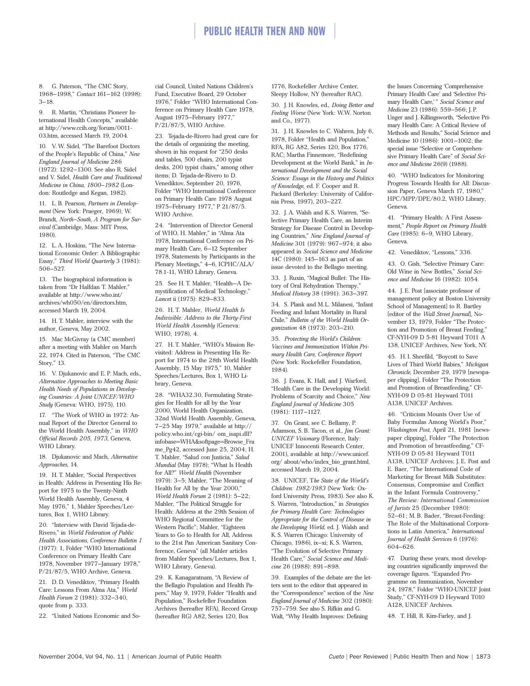8. G. Paterson, "The CMC Story, 1968–1998," *Contact* 161–162 (1998): 3–18.

9. R. Martin, "Christians Pioneer International Health Concepts," available at http://www.ccih.org/forum/0011- 03.htm, accessed March 19, 2004.

10. V. W. Sidel, "The Barefoot Doctors of the People's Republic of China," *New England Journal of Medicine* 286 (1972): 1292–1300. See also R. Sidel and V. Sidel, *Health Care and Traditional Medicine in China, 1800–1982* (London: Routledge and Kegan, 1982).

11. L. B. Pearson, *Partners in Development* (New York: Praeger, 1969); W. Brandt, *North–South, A Program for Survival* (Cambridge, Mass: MIT Press, 1980).

12. L. A. Hoskins, "The New International Economic Order: A Bibliographic Essay," *Third World Quarterly* 3 (1981): 506–527.

13. The biographical information is taken from "Dr Halfdan T. Mahler," available at http://www.who.int/ archives/wh050/en/directors.htm, accessed March 19, 2004.

14. H. T. Mahler, interview with the author, Geneva, May 2002.

15. Mac McGivray (a CMC member) after a meeting with Mahler on March 22, 1974. Cited in Paterson, "The CMC Story," 13.

16. V. Djukanovic and E. P. Mach, eds., *Alternative Approaches to Meeting Basic Health Needs of Populations in Developing Countries: A Joint UNICEF/WHO Study* (Geneva: WHO, 1975), 110.

17. "The Work of WHO in 1972: Annual Report of the Director General to the World Health Assembly," in *WHO Official Records 205, 1973*, Geneva, WHO Library.

18. Djukanovic and Mach, *Alternative Approaches*, 14.

19. H. T. Mahler, "Social Perspectives in Health: Address in Presenting His Report for 1975 to the Twenty-Ninth World Health Assembly, Geneva, 4 May 1976," 1, Mahler Speeches/Lectures, Box 1, WHO Library.

20. "Interview with David Tejada-de-Rivero," in *World Federation of Public Health Associations, Conference Bulletin 1* (1977): 1, Folder "WHO International Conference on Primary Health Care 1978, November 1977–January 1978," P/21/87/5, WHO Archive, Geneva.

21. D. D. Venediktov, "Primary Health Care: Lessons From Alma Ata," *World Health Forum* 2 (1981): 332–340, quote from p. 333.

22. "United Nations Economic and So-

cial Council, United Nations Children's Fund, Executive Board, 29 October 1976," Folder "WHO International Conference on Primary Health Care 1978, August 1975–February 1977," P/21/87/5, WHO Archive.

23. Tejada-de-Rivero had great care for the details of organizing the meeting, shown in his request for "250 desks and tables, 500 chairs, 200 typist desks, 200 typist chairs," among other items; D. Tejada-de-Rivero to D. Venediktov, September 20, 1976, Folder "WHO International Conference on Primary Health Care 1978 August 1975–February 1977," P 21/87/5. WHO Archive.

24. "Intervention of Director General of WHO, H. Mahler," in "Alma Ata 1978, International Conference on Primary Health Care, 6–12 September 1978, Statements by Participants in the Plenary Meetings," 4–6, ICPHC/ALA/ 78.1-11, WHO Library, Geneva.

25. See H. T. Mahler, "Health—A Demystification of Medical Technology," *Lancet* ii (1975): 829–833.

26. H. T. Mahler, *World Health Is Indivisible: Address to the Thirty-First World Health Assembly* (Geneva: WHO, 1978), 4.

27. H. T. Mahler, "WHO's Mission Revisited: Address in Presenting His Report for 1974 to the 28th World Health Assembly, 15 May 1975," 10, Mahler Speeches/Lectures, Box 1, WHO Library, Geneva.

28. "WHA32.30, Formulating Strategies for Health for all by the Year 2000, World Health Organization, 32nd World Health Assembly, Geneva, 7–25 May 1979," available at http:// policy.who.int/cgi-bin/ om\_isapi.dll? infobase=WHA&softpage=Browse\_Fra me\_Pg42, accessed June 25, 2004; H. T. Mahler, "Salud con Justicia," *Salud Mundial* (May 1978); "What Is Health for All?" *World Health* (November 1979): 3–5; Mahler, "The Meaning of Health for All by the Year 2000," *World Health Forum* 2 (1981): 5–22; Mahler, "The Political Struggle for Health: Address at the 29th Session of WHO Regional Committee for the Western Pacific"; Mahler, "Eighteen Years to Go to Health for All, Address to the 21st Pan American Sanitary Conference, Geneva" (all Mahler articles from Mahler Speeches/Lectures, Box 1, WHO Library, Geneva).

29. K. Kanagaratnam, "A Review of the Bellagio Population and Health Papers," May 9, 1979, Folder "Health and Population," Rockefeller Foundation Archives (hereafter RFA), Record Group (hereafter RG) A82, Series 120, Box

1776, Rockefeller Archive Center, Sleepy Hollow, NY (hereafter RAC).

30. J. H. Knowles, ed., *Doing Better and Feeling Worse* (New York: W.W. Norton and Co., 1977).

31. J. H. Knowles to C. Wahren, July 6, 1978, Folder "Health and Population," RFA, RG A82, Series 120, Box 1776, RAC; Martha Finnemore, "Redefining Development at the World Bank," in *International Development and the Social Science: Essays in the History and Politics of Knowledge*, ed. F. Cooper and R. Packard (Berkeley: University of California Press, 1997), 203–227.

32. J. A. Walsh and K. S. Warren, "Selective Primary Health Care, an Interim Strategy for Disease Control in Developing Countries," *New England Journal of Medicine* 301 (1979): 967–974; it also appeared in *Social Science and Medicine* 14C (1980): 145–163 as part of an issue devoted to the Bellagio meeting.

33. J. Ruxin, "Magical Bullet: The History of Oral Rehydration Therapy," *Medical History* 38 (1991): 363–397.

34. S. Plank and M.L. Milanesi, "Infant Feeding and Infant Mortality in Rural Chile," *Bulletin of the World Health Organization* 48 (1973): 203–210.

35. *Protecting the World's Children: Vaccines and Immunization Within Primary Health Care, Conference Report* (New York: Rockefeller Foundation, 1984).

36. J. Evans, K. Hall, and J. Warford, "Health Care in the Developing World: Problems of Scarcity and Choice," *New England Journal of Medicine* 305 (1981): 1117–1127.

37. On Grant, see C. Bellamy, P. Adamson, S. B. Tacon, et al., *Jim Grant: UNICEF Visionary* (Florence, Italy: UNICEF Innocenti Research Center, 2001), available at http://www.unicef. org/ about/who/index\_bio\_grant.html, accessed March 19, 2004.

38. UNICEF, T*he State of the World's Children: 1982/1983* (New York: Oxford University Press, 1983). See also K. S. Warren, "Introduction," in *Strategies for Primary Health Care: Technologies Appropriate for the Control of Disease in the Developing World,* ed. J. Walsh and K. S. Warren (Chicago: University of Chicago, 1986), ix–xi; K. S. Warren, "The Evolution of Selective Primary Health Care," *Social Science and Medicine* 26 (1988): 891–898.

39. Examples of the debate are the letters sent to the editor that appeared in the "Correspondence" section of the *New England Journal of Medicine* 302 (1980): 757–759. See also S. Rifkin and G. Walt, "Why Health Improves: Defining

the Issues Concerning 'Comprehensive Primary Health Care' and 'Selective Primary Health Care,' " *Social Science and Medicine* 23 (1986): 559–566; J. P. Unger and J. Killingsworth, "Selective Primary Health Care: A Critical Review of Methods and Results," Social Science and Medicine 10 (1986): 1001–1002; the special issue "Selective or Comprehensive Primary Health Care" of *Social Science and Medicine* 26(9) (1988).

40. "WHO Indicators for Monitoring Progress Towards Health for All: Discussion Paper, Geneva March 17, 1980," HPC/MPP/DPE/80.2, WHO Library, Geneva.

41. "Primary Health: A First Assessment," *People Report on Primary Health Care* (1985): 6–9, WHO Library, Geneva.

42. Venediktov, "Lessons," 336.

43. O. Gish, "Selective Primary Care: Old Wine in New Bottles," *Social Science and Medicine* 16 (1982): 1054.

44. J. E. Post [associate professor of management policy at Boston University School of Management] to R. Bartley [editor of the *Wall Street Journal*], November 13, 1979, Folder "The Protection and Promotion of Breast Feeding," CF-NYH-09 D 5-81 Heyward T011 A 138, UNICEF Archives, New York, NY.

45. H. I. Sheefild, "Boycott to Save Lives of Third World Babies," *Michigan Chronicle*, December 29, 1979 [newspaper clipping], Folder "The Protection and Promotion of Breastfeeding," CF-NYH-09 D 05-81 Heyward T011 A138, UNICEF Archives.

46. "Criticism Mounts Over Use of Baby Formulas Among World's Poor," *Washington Post*, April 21, 1981 [newspaper clipping], Folder "The Protection and Promotion of breastfeeding," CF-NYH-09 D 05-81 Heyward T011 A138, UNICEF Archives; J. E. Post and E. Baer, "The International Code of Marketing for Breast Milk Substitutes: Consensus, Compromise and Conflict in the Infant Formula Controversy," *The Review: International Commission of Jurists* 25 (December 1980): 52–61; M. B. Bader, "Breast-Feeding: The Role of the Multinational Corporations in Latin America," *International Journal of Health Services* 6 (1976):  $604 - 626$ 

47. During these years, most developing countries significantly improved the coverage figures. "Expanded Programme on Immunization, November 24, 1978," Folder "WHO-UNICEF Joint Study," CF-NYH-09 D Heyward T010 A128, UNICEF Archives.

48. T. Hill, R. Kim-Farley, and J.